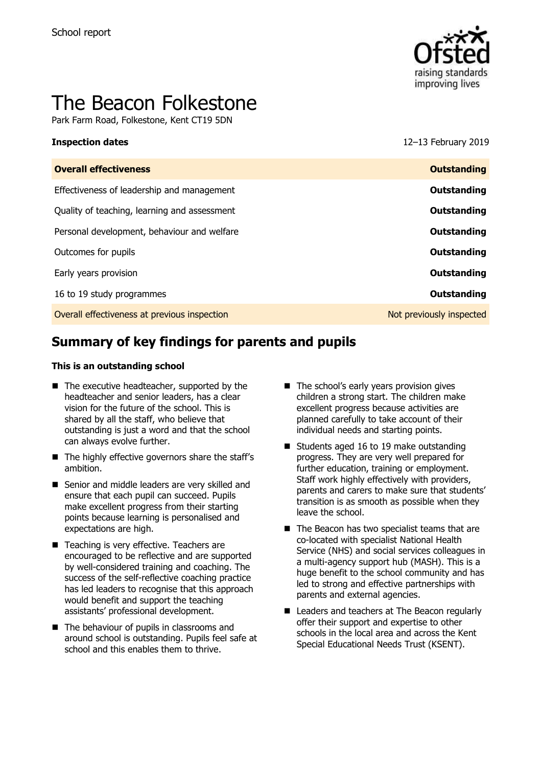

# The Beacon Folkestone

Park Farm Road, Folkestone, Kent CT19 5DN

**Inspection dates** 12–13 February 2019

| <b>Overall effectiveness</b>                 | <b>Outstanding</b>       |
|----------------------------------------------|--------------------------|
| Effectiveness of leadership and management   | Outstanding              |
| Quality of teaching, learning and assessment | Outstanding              |
| Personal development, behaviour and welfare  | Outstanding              |
| Outcomes for pupils                          | Outstanding              |
| Early years provision                        | Outstanding              |
| 16 to 19 study programmes                    | Outstanding              |
| Overall effectiveness at previous inspection | Not previously inspected |
|                                              |                          |

# **Summary of key findings for parents and pupils**

#### **This is an outstanding school**

- $\blacksquare$  The executive headteacher, supported by the headteacher and senior leaders, has a clear vision for the future of the school. This is shared by all the staff, who believe that outstanding is just a word and that the school can always evolve further.
- The highly effective governors share the staff's ambition.
- Senior and middle leaders are very skilled and ensure that each pupil can succeed. Pupils make excellent progress from their starting points because learning is personalised and expectations are high.
- Teaching is very effective. Teachers are encouraged to be reflective and are supported by well-considered training and coaching. The success of the self-reflective coaching practice has led leaders to recognise that this approach would benefit and support the teaching assistants' professional development.
- The behaviour of pupils in classrooms and around school is outstanding. Pupils feel safe at school and this enables them to thrive.
- The school's early years provision gives children a strong start. The children make excellent progress because activities are planned carefully to take account of their individual needs and starting points.
- Students aged 16 to 19 make outstanding progress. They are very well prepared for further education, training or employment. Staff work highly effectively with providers, parents and carers to make sure that students' transition is as smooth as possible when they leave the school.
- The Beacon has two specialist teams that are co-located with specialist National Health Service (NHS) and social services colleagues in a multi-agency support hub (MASH). This is a huge benefit to the school community and has led to strong and effective partnerships with parents and external agencies.
- Leaders and teachers at The Beacon regularly offer their support and expertise to other schools in the local area and across the Kent Special Educational Needs Trust (KSENT).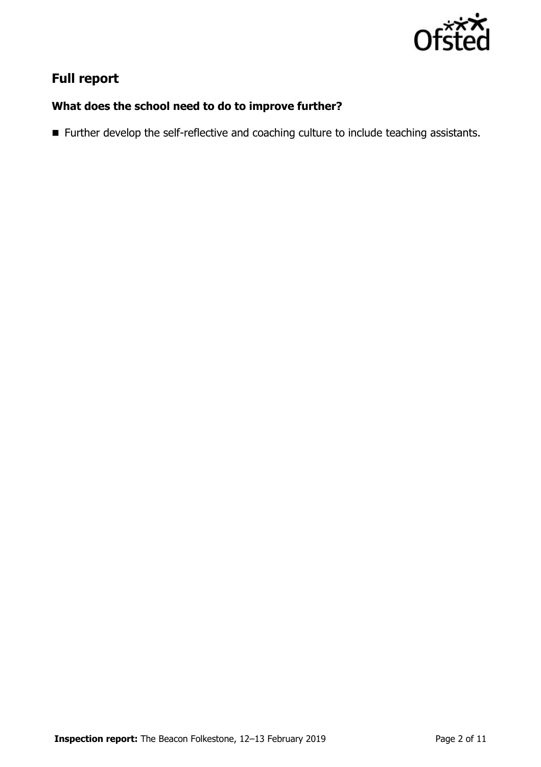

# **Full report**

### **What does the school need to do to improve further?**

Further develop the self-reflective and coaching culture to include teaching assistants.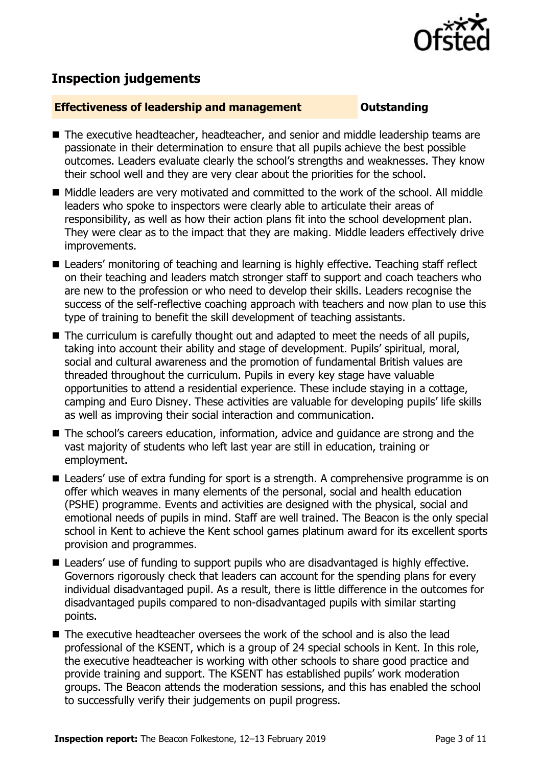

# **Inspection judgements**

#### **Effectiveness of leadership and management Constanding**

- The executive headteacher, headteacher, and senior and middle leadership teams are passionate in their determination to ensure that all pupils achieve the best possible outcomes. Leaders evaluate clearly the school's strengths and weaknesses. They know their school well and they are very clear about the priorities for the school.
- Middle leaders are very motivated and committed to the work of the school. All middle leaders who spoke to inspectors were clearly able to articulate their areas of responsibility, as well as how their action plans fit into the school development plan. They were clear as to the impact that they are making. Middle leaders effectively drive improvements.
- Leaders' monitoring of teaching and learning is highly effective. Teaching staff reflect on their teaching and leaders match stronger staff to support and coach teachers who are new to the profession or who need to develop their skills. Leaders recognise the success of the self-reflective coaching approach with teachers and now plan to use this type of training to benefit the skill development of teaching assistants.
- The curriculum is carefully thought out and adapted to meet the needs of all pupils, taking into account their ability and stage of development. Pupils' spiritual, moral, social and cultural awareness and the promotion of fundamental British values are threaded throughout the curriculum. Pupils in every key stage have valuable opportunities to attend a residential experience. These include staying in a cottage, camping and Euro Disney. These activities are valuable for developing pupils' life skills as well as improving their social interaction and communication.
- The school's careers education, information, advice and quidance are strong and the vast majority of students who left last year are still in education, training or employment.
- Leaders' use of extra funding for sport is a strength. A comprehensive programme is on offer which weaves in many elements of the personal, social and health education (PSHE) programme. Events and activities are designed with the physical, social and emotional needs of pupils in mind. Staff are well trained. The Beacon is the only special school in Kent to achieve the Kent school games platinum award for its excellent sports provision and programmes.
- Leaders' use of funding to support pupils who are disadvantaged is highly effective. Governors rigorously check that leaders can account for the spending plans for every individual disadvantaged pupil. As a result, there is little difference in the outcomes for disadvantaged pupils compared to non-disadvantaged pupils with similar starting points.
- $\blacksquare$  The executive headteacher oversees the work of the school and is also the lead professional of the KSENT, which is a group of 24 special schools in Kent. In this role, the executive headteacher is working with other schools to share good practice and provide training and support. The KSENT has established pupils' work moderation groups. The Beacon attends the moderation sessions, and this has enabled the school to successfully verify their judgements on pupil progress.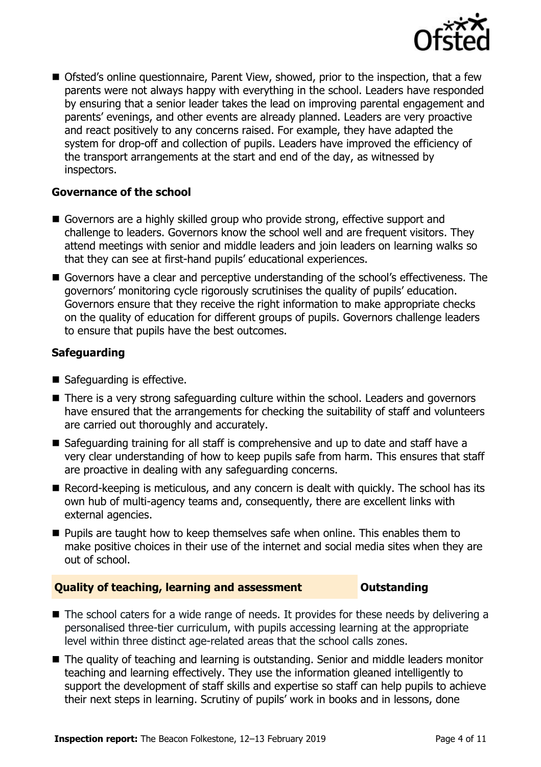

■ Ofsted's online questionnaire, Parent View, showed, prior to the inspection, that a few parents were not always happy with everything in the school. Leaders have responded by ensuring that a senior leader takes the lead on improving parental engagement and parents' evenings, and other events are already planned. Leaders are very proactive and react positively to any concerns raised. For example, they have adapted the system for drop-off and collection of pupils. Leaders have improved the efficiency of the transport arrangements at the start and end of the day, as witnessed by inspectors.

### **Governance of the school**

- Governors are a highly skilled group who provide strong, effective support and challenge to leaders. Governors know the school well and are frequent visitors. They attend meetings with senior and middle leaders and join leaders on learning walks so that they can see at first-hand pupils' educational experiences.
- Governors have a clear and perceptive understanding of the school's effectiveness. The governors' monitoring cycle rigorously scrutinises the quality of pupils' education. Governors ensure that they receive the right information to make appropriate checks on the quality of education for different groups of pupils. Governors challenge leaders to ensure that pupils have the best outcomes.

### **Safeguarding**

- Safeguarding is effective.
- There is a very strong safeguarding culture within the school. Leaders and governors have ensured that the arrangements for checking the suitability of staff and volunteers are carried out thoroughly and accurately.
- Safeguarding training for all staff is comprehensive and up to date and staff have a very clear understanding of how to keep pupils safe from harm. This ensures that staff are proactive in dealing with any safeguarding concerns.
- Record-keeping is meticulous, and any concern is dealt with quickly. The school has its own hub of multi-agency teams and, consequently, there are excellent links with external agencies.
- **Pupils are taught how to keep themselves safe when online. This enables them to** make positive choices in their use of the internet and social media sites when they are out of school.

### **Quality of teaching, learning and assessment Outstanding**

- The school caters for a wide range of needs. It provides for these needs by delivering a personalised three-tier curriculum, with pupils accessing learning at the appropriate level within three distinct age-related areas that the school calls zones.
- The quality of teaching and learning is outstanding. Senior and middle leaders monitor teaching and learning effectively. They use the information gleaned intelligently to support the development of staff skills and expertise so staff can help pupils to achieve their next steps in learning. Scrutiny of pupils' work in books and in lessons, done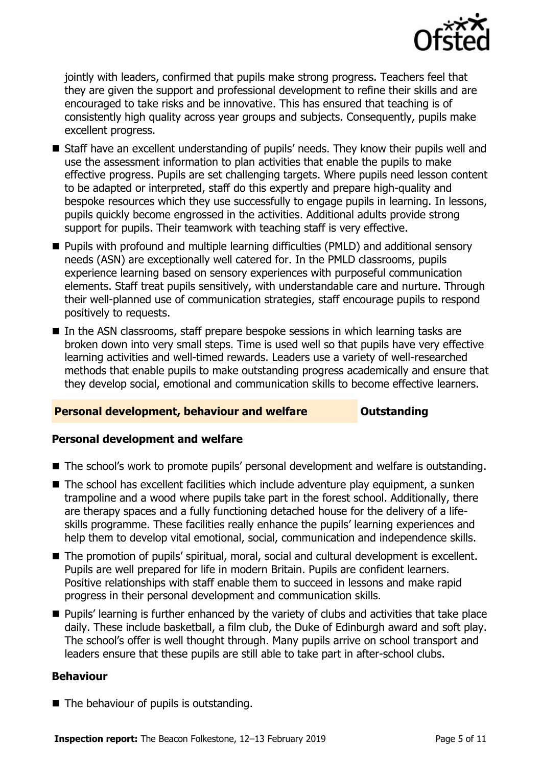

jointly with leaders, confirmed that pupils make strong progress. Teachers feel that they are given the support and professional development to refine their skills and are encouraged to take risks and be innovative. This has ensured that teaching is of consistently high quality across year groups and subjects. Consequently, pupils make excellent progress.

- Staff have an excellent understanding of pupils' needs. They know their pupils well and use the assessment information to plan activities that enable the pupils to make effective progress. Pupils are set challenging targets. Where pupils need lesson content to be adapted or interpreted, staff do this expertly and prepare high-quality and bespoke resources which they use successfully to engage pupils in learning. In lessons, pupils quickly become engrossed in the activities. Additional adults provide strong support for pupils. Their teamwork with teaching staff is very effective.
- **Pupils with profound and multiple learning difficulties (PMLD) and additional sensory** needs (ASN) are exceptionally well catered for. In the PMLD classrooms, pupils experience learning based on sensory experiences with purposeful communication elements. Staff treat pupils sensitively, with understandable care and nurture. Through their well-planned use of communication strategies, staff encourage pupils to respond positively to requests.
- In the ASN classrooms, staff prepare bespoke sessions in which learning tasks are broken down into very small steps. Time is used well so that pupils have very effective learning activities and well-timed rewards. Leaders use a variety of well-researched methods that enable pupils to make outstanding progress academically and ensure that they develop social, emotional and communication skills to become effective learners.

### **Personal development, behaviour and welfare <b>COULTS** Outstanding

### **Personal development and welfare**

- The school's work to promote pupils' personal development and welfare is outstanding.
- The school has excellent facilities which include adventure play equipment, a sunken trampoline and a wood where pupils take part in the forest school. Additionally, there are therapy spaces and a fully functioning detached house for the delivery of a lifeskills programme. These facilities really enhance the pupils' learning experiences and help them to develop vital emotional, social, communication and independence skills.
- The promotion of pupils' spiritual, moral, social and cultural development is excellent. Pupils are well prepared for life in modern Britain. Pupils are confident learners. Positive relationships with staff enable them to succeed in lessons and make rapid progress in their personal development and communication skills.
- **Pupils'** learning is further enhanced by the variety of clubs and activities that take place daily. These include basketball, a film club, the Duke of Edinburgh award and soft play. The school's offer is well thought through. Many pupils arrive on school transport and leaders ensure that these pupils are still able to take part in after-school clubs.

### **Behaviour**

 $\blacksquare$  The behaviour of pupils is outstanding.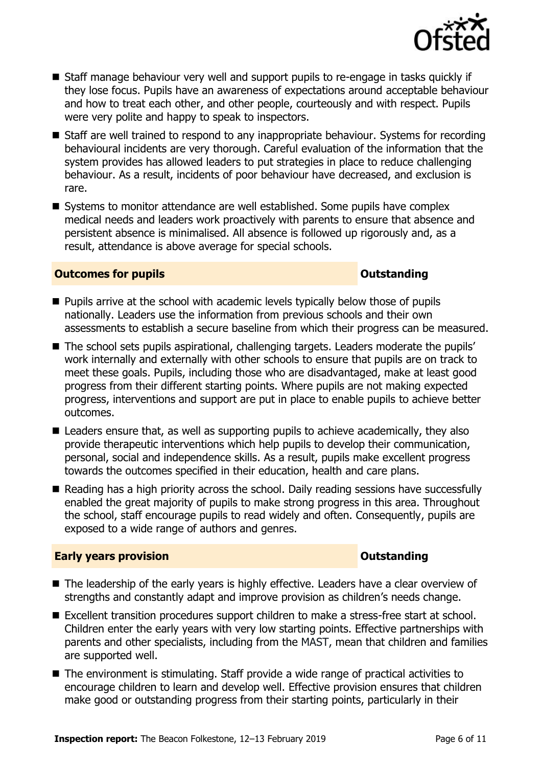

- Staff manage behaviour very well and support pupils to re-engage in tasks quickly if they lose focus. Pupils have an awareness of expectations around acceptable behaviour and how to treat each other, and other people, courteously and with respect. Pupils were very polite and happy to speak to inspectors.
- Staff are well trained to respond to any inappropriate behaviour. Systems for recording behavioural incidents are very thorough. Careful evaluation of the information that the system provides has allowed leaders to put strategies in place to reduce challenging behaviour. As a result, incidents of poor behaviour have decreased, and exclusion is rare.
- Systems to monitor attendance are well established. Some pupils have complex medical needs and leaders work proactively with parents to ensure that absence and persistent absence is minimalised. All absence is followed up rigorously and, as a result, attendance is above average for special schools.

#### **Outcomes for pupils Outstanding**

- **Pupils arrive at the school with academic levels typically below those of pupils** nationally. Leaders use the information from previous schools and their own assessments to establish a secure baseline from which their progress can be measured.
- The school sets pupils aspirational, challenging targets. Leaders moderate the pupils' work internally and externally with other schools to ensure that pupils are on track to meet these goals. Pupils, including those who are disadvantaged, make at least good progress from their different starting points. Where pupils are not making expected progress, interventions and support are put in place to enable pupils to achieve better outcomes.
- Leaders ensure that, as well as supporting pupils to achieve academically, they also provide therapeutic interventions which help pupils to develop their communication, personal, social and independence skills. As a result, pupils make excellent progress towards the outcomes specified in their education, health and care plans.
- Reading has a high priority across the school. Daily reading sessions have successfully enabled the great majority of pupils to make strong progress in this area. Throughout the school, staff encourage pupils to read widely and often. Consequently, pupils are exposed to a wide range of authors and genres.

### **Early years provision CONSISTER SERVIS ASSESSED ASSESSED AT A PARTICLE AND THE SERVIS ASSESSED AT A PARTICLE AND THE SERVIS ASSESSED AT A PARTICLE AND THE SERVIS ASSESSED AT A PARTICLE AND THE SERVIS ASSESSED AT A PARTI**

- The leadership of the early years is highly effective. Leaders have a clear overview of strengths and constantly adapt and improve provision as children's needs change.
- Excellent transition procedures support children to make a stress-free start at school. Children enter the early years with very low starting points. Effective partnerships with parents and other specialists, including from the MAST, mean that children and families are supported well.
- The environment is stimulating. Staff provide a wide range of practical activities to encourage children to learn and develop well. Effective provision ensures that children make good or outstanding progress from their starting points, particularly in their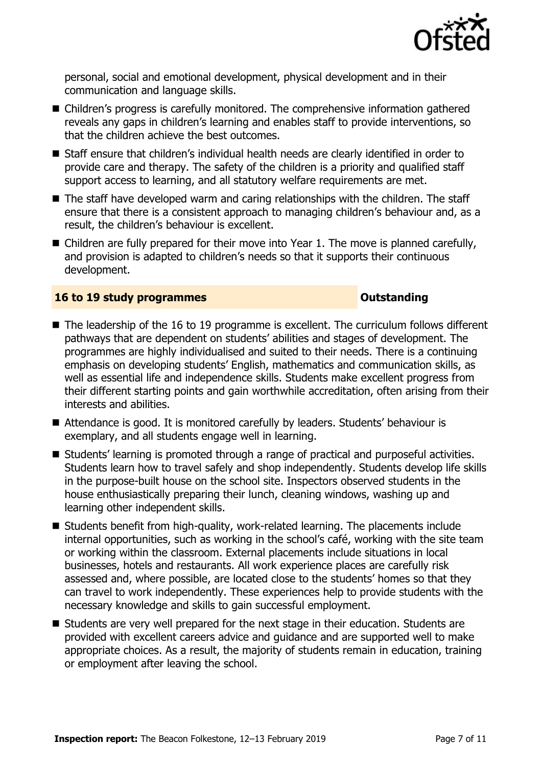

personal, social and emotional development, physical development and in their communication and language skills.

- Children's progress is carefully monitored. The comprehensive information gathered reveals any gaps in children's learning and enables staff to provide interventions, so that the children achieve the best outcomes.
- Staff ensure that children's individual health needs are clearly identified in order to provide care and therapy. The safety of the children is a priority and qualified staff support access to learning, and all statutory welfare requirements are met.
- The staff have developed warm and caring relationships with the children. The staff ensure that there is a consistent approach to managing children's behaviour and, as a result, the children's behaviour is excellent.
- Children are fully prepared for their move into Year 1. The move is planned carefully, and provision is adapted to children's needs so that it supports their continuous development.

#### **16 to 19 study programmes Distances Outstanding**

- The leadership of the 16 to 19 programme is excellent. The curriculum follows different pathways that are dependent on students' abilities and stages of development. The programmes are highly individualised and suited to their needs. There is a continuing emphasis on developing students' English, mathematics and communication skills, as well as essential life and independence skills. Students make excellent progress from their different starting points and gain worthwhile accreditation, often arising from their interests and abilities.
- Attendance is good. It is monitored carefully by leaders. Students' behaviour is exemplary, and all students engage well in learning.
- Students' learning is promoted through a range of practical and purposeful activities. Students learn how to travel safely and shop independently. Students develop life skills in the purpose-built house on the school site. Inspectors observed students in the house enthusiastically preparing their lunch, cleaning windows, washing up and learning other independent skills.
- Students benefit from high-quality, work-related learning. The placements include internal opportunities, such as working in the school's café, working with the site team or working within the classroom. External placements include situations in local businesses, hotels and restaurants. All work experience places are carefully risk assessed and, where possible, are located close to the students' homes so that they can travel to work independently. These experiences help to provide students with the necessary knowledge and skills to gain successful employment.
- Students are very well prepared for the next stage in their education. Students are provided with excellent careers advice and guidance and are supported well to make appropriate choices. As a result, the majority of students remain in education, training or employment after leaving the school.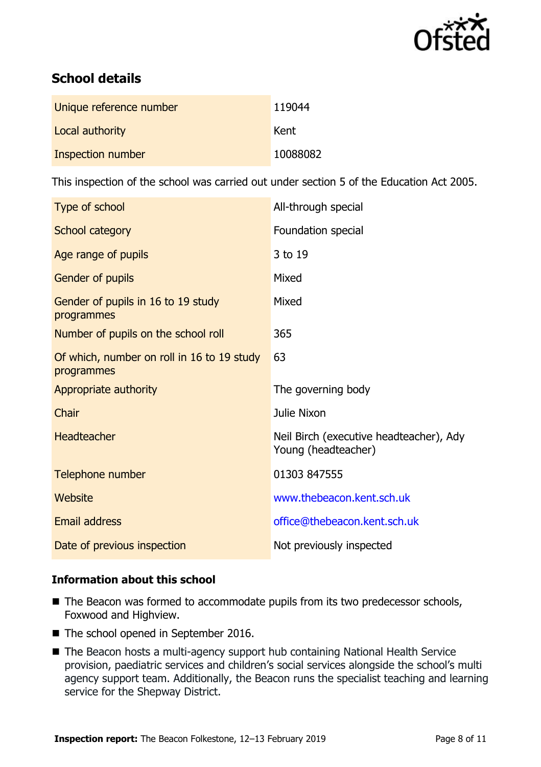

# **School details**

| Unique reference number | 119044   |
|-------------------------|----------|
| Local authority         | Kent     |
| Inspection number       | 10088082 |

This inspection of the school was carried out under section 5 of the Education Act 2005.

| Type of school                                           | All-through special                                            |
|----------------------------------------------------------|----------------------------------------------------------------|
| School category                                          | Foundation special                                             |
| Age range of pupils                                      | 3 to 19                                                        |
| Gender of pupils                                         | Mixed                                                          |
| Gender of pupils in 16 to 19 study<br>programmes         | Mixed                                                          |
| Number of pupils on the school roll                      | 365                                                            |
| Of which, number on roll in 16 to 19 study<br>programmes | 63                                                             |
| Appropriate authority                                    | The governing body                                             |
| Chair                                                    | Julie Nixon                                                    |
| <b>Headteacher</b>                                       | Neil Birch (executive headteacher), Ady<br>Young (headteacher) |
|                                                          |                                                                |
| Telephone number                                         | 01303 847555                                                   |
| Website                                                  | www.thebeacon.kent.sch.uk                                      |
| Email address                                            | office@thebeacon.kent.sch.uk                                   |

### **Information about this school**

- The Beacon was formed to accommodate pupils from its two predecessor schools, Foxwood and Highview.
- The school opened in September 2016.
- The Beacon hosts a multi-agency support hub containing National Health Service provision, paediatric services and children's social services alongside the school's multi agency support team. Additionally, the Beacon runs the specialist teaching and learning service for the Shepway District.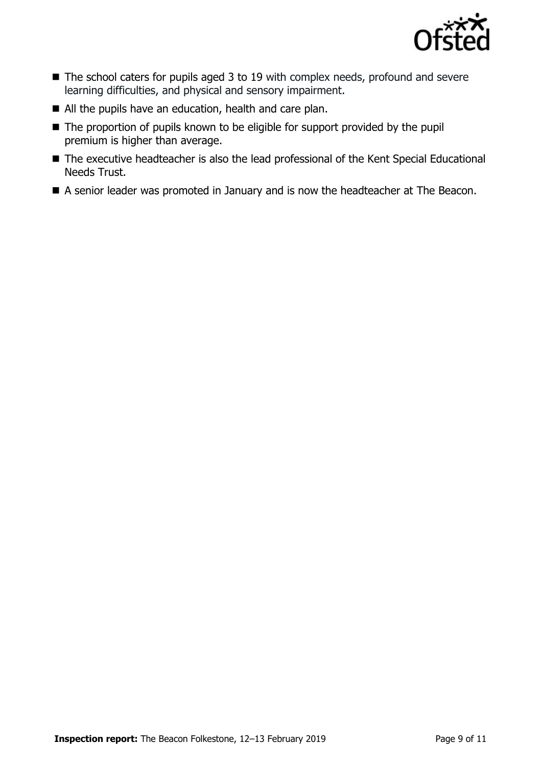

- The school caters for pupils aged 3 to 19 with complex needs, profound and severe learning difficulties, and physical and sensory impairment.
- All the pupils have an education, health and care plan.
- The proportion of pupils known to be eligible for support provided by the pupil premium is higher than average.
- The executive headteacher is also the lead professional of the Kent Special Educational Needs Trust.
- A senior leader was promoted in January and is now the headteacher at The Beacon.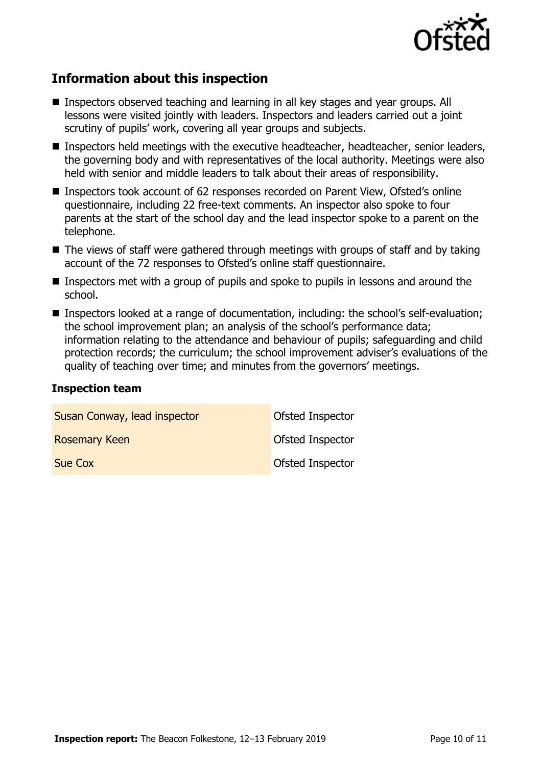

# **Information about this inspection**

- Inspectors observed teaching and learning in all key stages and year groups. All lessons were visited jointly with leaders. Inspectors and leaders carried out a joint scrutiny of pupils' work, covering all year groups and subjects.
- Inspectors held meetings with the executive headteacher, headteacher, senior leaders, the governing body and with representatives of the local authority. Meetings were also held with senior and middle leaders to talk about their areas of responsibility.
- Inspectors took account of 62 responses recorded on Parent View, Ofsted's online questionnaire, including 22 free-text comments. An inspector also spoke to four parents at the start of the school day and the lead inspector spoke to a parent on the telephone.
- $\blacksquare$  The views of staff were gathered through meetings with groups of staff and by taking account of the 72 responses to Ofsted's online staff questionnaire.
- **Inspectors met with a group of pupils and spoke to pupils in lessons and around the** school.
- Inspectors looked at a range of documentation, including: the school's self-evaluation; the school improvement plan; an analysis of the school's performance data; information relating to the attendance and behaviour of pupils; safeguarding and child protection records; the curriculum; the school improvement adviser's evaluations of the quality of teaching over time; and minutes from the governors' meetings.

#### **Inspection team**

| Susan Conway, lead inspector | Ofsted Inspector        |
|------------------------------|-------------------------|
| <b>Rosemary Keen</b>         | <b>Ofsted Inspector</b> |
| Sue Cox                      | Ofsted Inspector        |